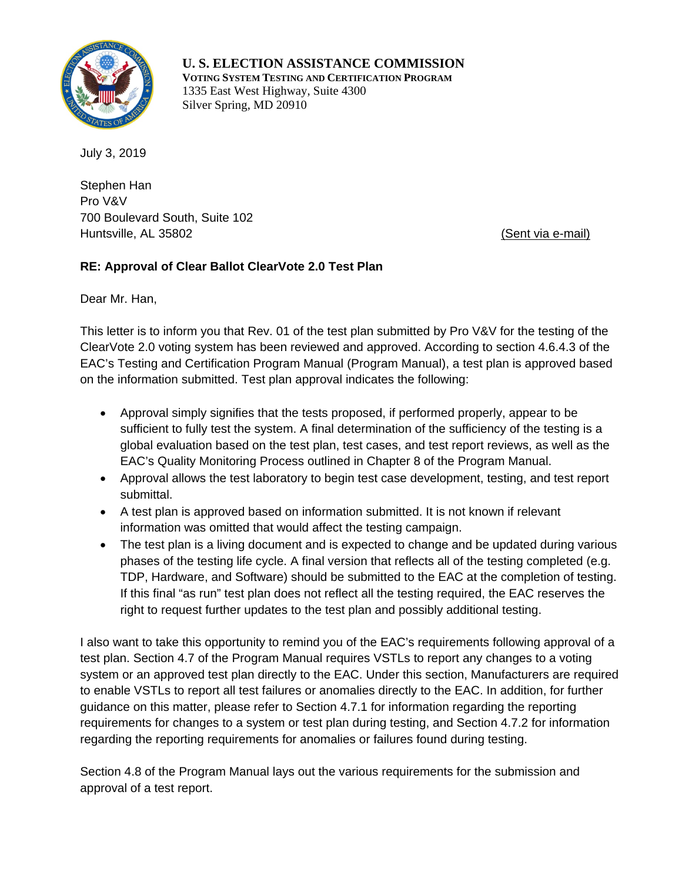

**U. S. ELECTION ASSISTANCE COMMISSION VOTING SYSTEM TESTING AND CERTIFICATION PROGRAM** 1335 East West Highway, Suite 4300 Silver Spring, MD 20910

Stephen Han Pro V&V 700 Boulevard South, Suite 102 Huntsville, AL 35802 (Sent via e-mail)

## **RE: Approval of Clear Ballot ClearVote 2.0 Test Plan**

Dear Mr. Han,

This letter is to inform you that Rev. 01 of the test plan submitted by Pro V&V for the testing of the ClearVote 2.0 voting system has been reviewed and approved. According to section 4.6.4.3 of the EAC's Testing and Certification Program Manual (Program Manual), a test plan is approved based on the information submitted. Test plan approval indicates the following:

- Approval simply signifies that the tests proposed, if performed properly, appear to be sufficient to fully test the system. A final determination of the sufficiency of the testing is a global evaluation based on the test plan, test cases, and test report reviews, as well as the EAC's Quality Monitoring Process outlined in Chapter 8 of the Program Manual.
- Approval allows the test laboratory to begin test case development, testing, and test report submittal.
- A test plan is approved based on information submitted. It is not known if relevant information was omitted that would affect the testing campaign.
- The test plan is a living document and is expected to change and be updated during various phases of the testing life cycle. A final version that reflects all of the testing completed (e.g. TDP, Hardware, and Software) should be submitted to the EAC at the completion of testing. If this final "as run" test plan does not reflect all the testing required, the EAC reserves the right to request further updates to the test plan and possibly additional testing.

I also want to take this opportunity to remind you of the EAC's requirements following approval of a test plan. Section 4.7 of the Program Manual requires VSTLs to report any changes to a voting system or an approved test plan directly to the EAC. Under this section, Manufacturers are required to enable VSTLs to report all test failures or anomalies directly to the EAC. In addition, for further guidance on this matter, please refer to Section 4.7.1 for information regarding the reporting requirements for changes to a system or test plan during testing, and Section 4.7.2 for information regarding the reporting requirements for anomalies or failures found during testing.

Section 4.8 of the Program Manual lays out the various requirements for the submission and approval of a test report.